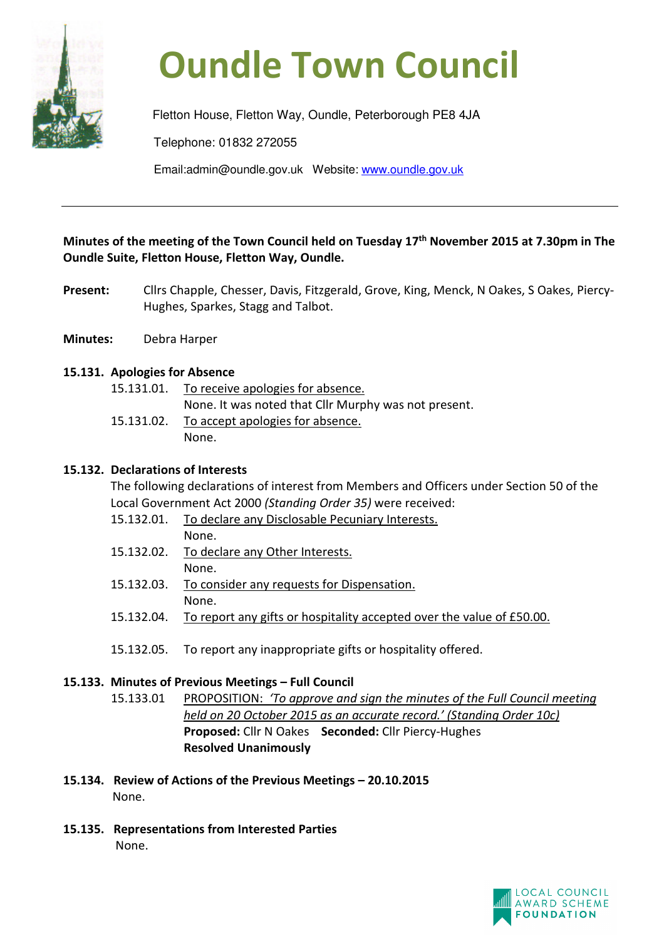

# **Oundle Town Council**

Fletton House, Fletton Way, Oundle, Peterborough PE8 4JA Telephone: 01832 272055 Email:admin@oundle.gov.uk Website: www.oundle.gov.uk

**Minutes of the meeting of the Town Council held on Tuesday 17th November 2015 at 7.30pm in The Oundle Suite, Fletton House, Fletton Way, Oundle.** 

- Present: Cllrs Chapple, Chesser, Davis, Fitzgerald, Grove, King, Menck, N Oakes, S Oakes, Piercy-Hughes, Sparkes, Stagg and Talbot.
- **Minutes:** Debra Harper

# **15.131. Apologies for Absence**

| 15.131.01. To receive apologies for absence.         |
|------------------------------------------------------|
| None. It was noted that Cllr Murphy was not present. |
| 15.131.02. To accept apologies for absence.          |
| None.                                                |
|                                                      |

## **15.132. Declarations of Interests**

 The following declarations of interest from Members and Officers under Section 50 of the Local Government Act 2000 *(Standing Order 35)* were received:

- 15.132.01. To declare any Disclosable Pecuniary Interests. None.
- 15.132.02. To declare any Other Interests. None.
- 15.132.03. To consider any requests for Dispensation. None.
- 15.132.04. To report any gifts or hospitality accepted over the value of £50.00.
- 15.132.05. To report any inappropriate gifts or hospitality offered.

# **15.133. Minutes of Previous Meetings – Full Council**

- 15.133.01 PROPOSITION: *'To approve and sign the minutes of the Full Council meeting held on 20 October 2015 as an accurate record.' (Standing Order 10c)*  **Proposed:** Cllr N Oakes**Seconded:** Cllr Piercy-Hughes **Resolved Unanimously**
- **15.134. Review of Actions of the Previous Meetings 20.10.2015**  None.
- **15.135. Representations from Interested Parties**  None.

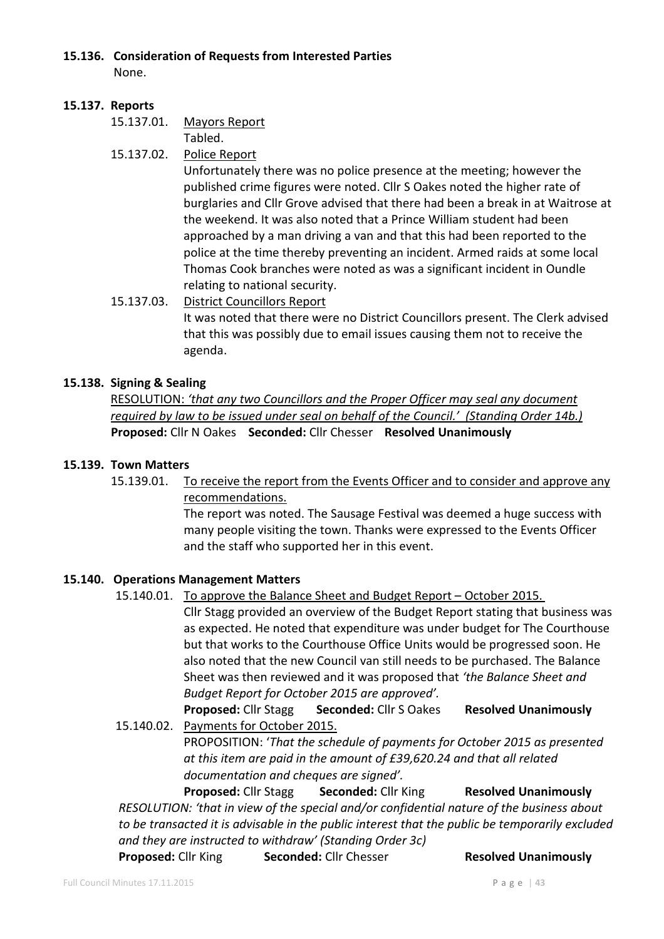#### **15.136. Consideration of Requests from Interested Parties**

None.

## **15.137. Reports**

15.137.01. Mayors Report

Tabled.

15.137.02. Police Report

Unfortunately there was no police presence at the meeting; however the published crime figures were noted. Cllr S Oakes noted the higher rate of burglaries and Cllr Grove advised that there had been a break in at Waitrose at the weekend. It was also noted that a Prince William student had been approached by a man driving a van and that this had been reported to the police at the time thereby preventing an incident. Armed raids at some local Thomas Cook branches were noted as was a significant incident in Oundle relating to national security.

## 15.137.03. District Councillors Report

It was noted that there were no District Councillors present. The Clerk advised that this was possibly due to email issues causing them not to receive the agenda.

# **15.138. Signing & Sealing**

RESOLUTION: *'that any two Councillors and the Proper Officer may seal any document required by law to be issued under seal on behalf of the Council.' (Standing Order 14b.)*  **Proposed:** Cllr N Oakes**Seconded:** Cllr Chesser **Resolved Unanimously** 

## **15.139. Town Matters**

 15.139.01. To receive the report from the Events Officer and to consider and approve any recommendations.

> The report was noted. The Sausage Festival was deemed a huge success with many people visiting the town. Thanks were expressed to the Events Officer and the staff who supported her in this event.

# **15.140. Operations Management Matters**

15.140.01. To approve the Balance Sheet and Budget Report – October 2015.

 Cllr Stagg provided an overview of the Budget Report stating that business was as expected. He noted that expenditure was under budget for The Courthouse but that works to the Courthouse Office Units would be progressed soon. He also noted that the new Council van still needs to be purchased. The Balance Sheet was then reviewed and it was proposed that *'the Balance Sheet and Budget Report for October 2015 are approved'.*

**Proposed:** Cllr Stagg**Seconded:** Cllr S Oakes **Resolved Unanimously** 15.140.02. Payments for October 2015.

> PROPOSITION: '*That the schedule of payments for October 2015 as presented at this item are paid in the amount of £39,620.24 and that all related documentation and cheques are signed'.*

**Proposed:** Cllr Stagg**Seconded:** Cllr King**Resolved Unanimously** *RESOLUTION: 'that in view of the special and/or confidential nature of the business about to be transacted it is advisable in the public interest that the public be temporarily excluded and they are instructed to withdraw' (Standing Order 3c)* 

**Proposed:** Cllr King **Seconded:** Cllr Chesser**Resolved Unanimously**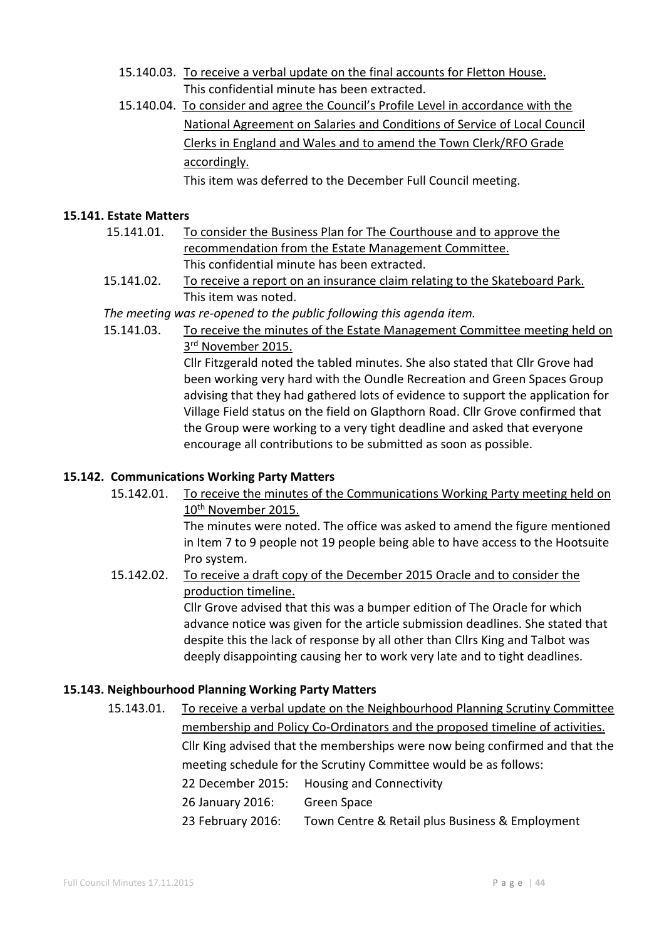- 15.140.03. To receive a verbal update on the final accounts for Fletton House. This confidential minute has been extracted.
- 15.140.04. To consider and agree the Council's Profile Level in accordance with the National Agreement on Salaries and Conditions of Service of Local Council Clerks in England and Wales and to amend the Town Clerk/RFO Grade accordingly.

This item was deferred to the December Full Council meeting.

### **15.141. Estate Matters**

- 15.141.01. To consider the Business Plan for The Courthouse and to approve the recommendation from the Estate Management Committee. This confidential minute has been extracted.
- 15.141.02. To receive a report on an insurance claim relating to the Skateboard Park. This item was noted.

*The meeting was re-opened to the public following this agenda item.* 

15.141.03. To receive the minutes of the Estate Management Committee meeting held on 3<sup>rd</sup> November 2015. Cllr Fitzgerald noted the tabled minutes. She also stated that Cllr Grove had

been working very hard with the Oundle Recreation and Green Spaces Group advising that they had gathered lots of evidence to support the application for Village Field status on the field on Glapthorn Road. Cllr Grove confirmed that the Group were working to a very tight deadline and asked that everyone encourage all contributions to be submitted as soon as possible.

# **15.142. Communications Working Party Matters**

 15.142.01. To receive the minutes of the Communications Working Party meeting held on 10<sup>th</sup> November 2015.

 The minutes were noted. The office was asked to amend the figure mentioned in Item 7 to 9 people not 19 people being able to have access to the Hootsuite Pro system.

 15.142.02. To receive a draft copy of the December 2015 Oracle and to consider the production timeline.

 Cllr Grove advised that this was a bumper edition of The Oracle for which advance notice was given for the article submission deadlines. She stated that despite this the lack of response by all other than Cllrs King and Talbot was deeply disappointing causing her to work very late and to tight deadlines.

#### **15.143. Neighbourhood Planning Working Party Matters**

 15.143.01. To receive a verbal update on the Neighbourhood Planning Scrutiny Committee membership and Policy Co-Ordinators and the proposed timeline of activities. Cllr King advised that the memberships were now being confirmed and that the meeting schedule for the Scrutiny Committee would be as follows: 22 December 2015: Housing and Connectivity 26 January 2016: Green Space 23 February 2016: Town Centre & Retail plus Business & Employment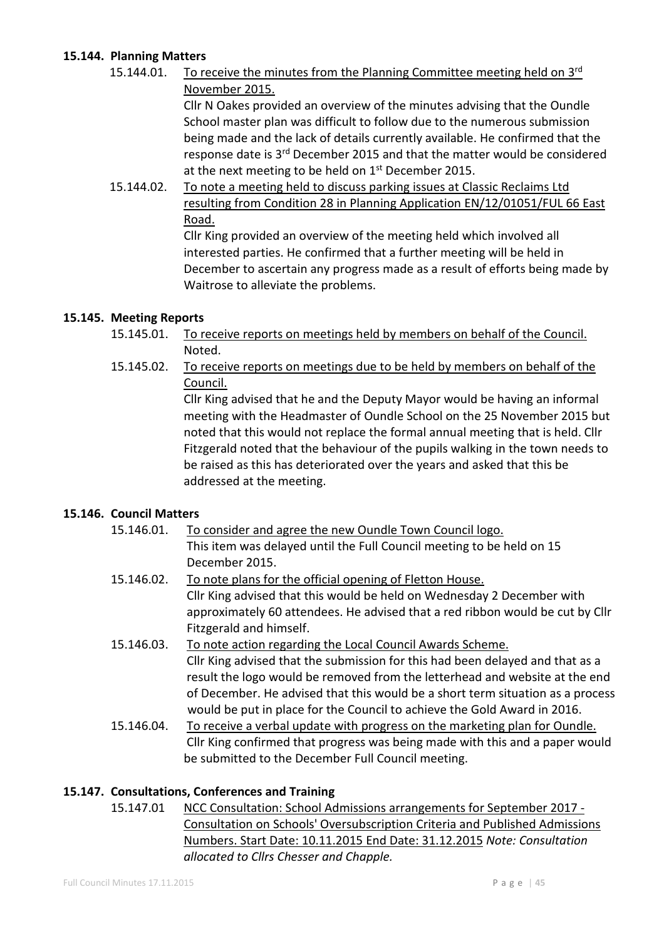## **15.144. Planning Matters**

15.144.01. To receive the minutes from the Planning Committee meeting held on 3<sup>rd</sup> November 2015. Cllr N Oakes provided an overview of the minutes advising that the Oundle School master plan was difficult to follow due to the numerous submission being made and the lack of details currently available. He confirmed that the

response date is 3<sup>rd</sup> December 2015 and that the matter would be considered at the next meeting to be held on  $1<sup>st</sup>$  December 2015.

 15.144.02. To note a meeting held to discuss parking issues at Classic Reclaims Ltd resulting from Condition 28 in Planning Application EN/12/01051/FUL 66 East Road.

 Cllr King provided an overview of the meeting held which involved all interested parties. He confirmed that a further meeting will be held in December to ascertain any progress made as a result of efforts being made by Waitrose to alleviate the problems.

# **15.145. Meeting Reports**

- 15.145.01. To receive reports on meetings held by members on behalf of the Council. Noted.
- 15.145.02. To receive reports on meetings due to be held by members on behalf of the Council.

 Cllr King advised that he and the Deputy Mayor would be having an informal meeting with the Headmaster of Oundle School on the 25 November 2015 but noted that this would not replace the formal annual meeting that is held. Cllr Fitzgerald noted that the behaviour of the pupils walking in the town needs to be raised as this has deteriorated over the years and asked that this be addressed at the meeting.

# **15.146. Council Matters**

- 15.146.01. To consider and agree the new Oundle Town Council logo. This item was delayed until the Full Council meeting to be held on 15 December 2015.
- 15.146.02. To note plans for the official opening of Fletton House. Cllr King advised that this would be held on Wednesday 2 December with approximately 60 attendees. He advised that a red ribbon would be cut by Cllr Fitzgerald and himself.
- 15.146.03. To note action regarding the Local Council Awards Scheme. Cllr King advised that the submission for this had been delayed and that as a result the logo would be removed from the letterhead and website at the end of December. He advised that this would be a short term situation as a process would be put in place for the Council to achieve the Gold Award in 2016.
- 15.146.04. To receive a verbal update with progress on the marketing plan for Oundle. Cllr King confirmed that progress was being made with this and a paper would be submitted to the December Full Council meeting.

# **15.147. Consultations, Conferences and Training**

 15.147.01 NCC Consultation: School Admissions arrangements for September 2017 - Consultation on Schools' Oversubscription Criteria and Published Admissions Numbers. Start Date: 10.11.2015 End Date: 31.12.2015 *Note: Consultation allocated to Cllrs Chesser and Chapple.*